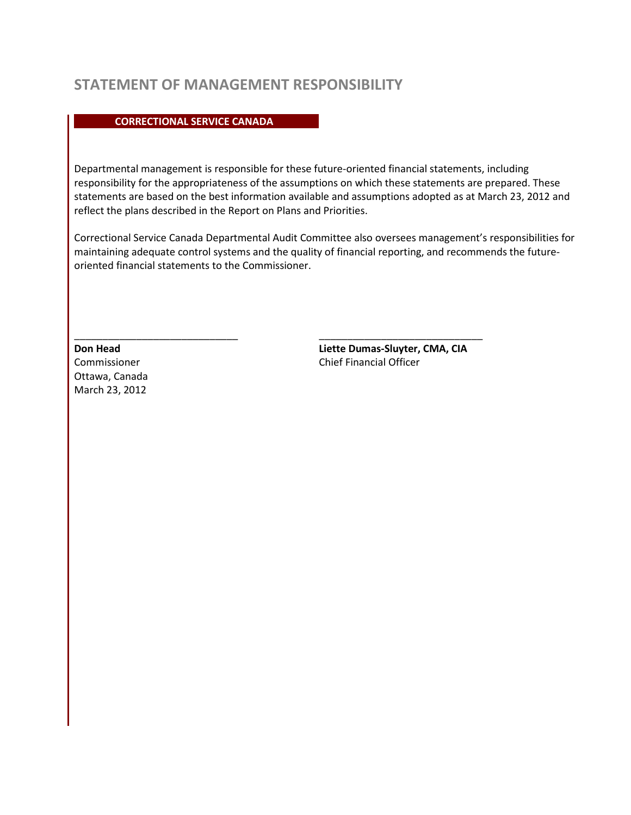## **STATEMENT OF MANAGEMENT RESPONSIBILITY**

#### **CORRECTIONAL SERVICE CANADA**

Departmental management is responsible for these future-oriented financial statements, including responsibility for the appropriateness of the assumptions on which these statements are prepared. These statements are based on the best information available and assumptions adopted as at March 23, 2012 and reflect the plans described in the Report on Plans and Priorities.

Correctional Service Canada Departmental Audit Committee also oversees management's responsibilities for maintaining adequate control systems and the quality of financial reporting, and recommends the futureoriented financial statements to the Commissioner.

 $\_$  , and the set of the set of the set of the set of the set of the set of the set of the set of the set of the set of the set of the set of the set of the set of the set of the set of the set of the set of the set of th

Ottawa, Canada March 23, 2012

**Don Head Liette Dumas-Sluyter, CMA, CIA** Commissioner Chief Financial Officer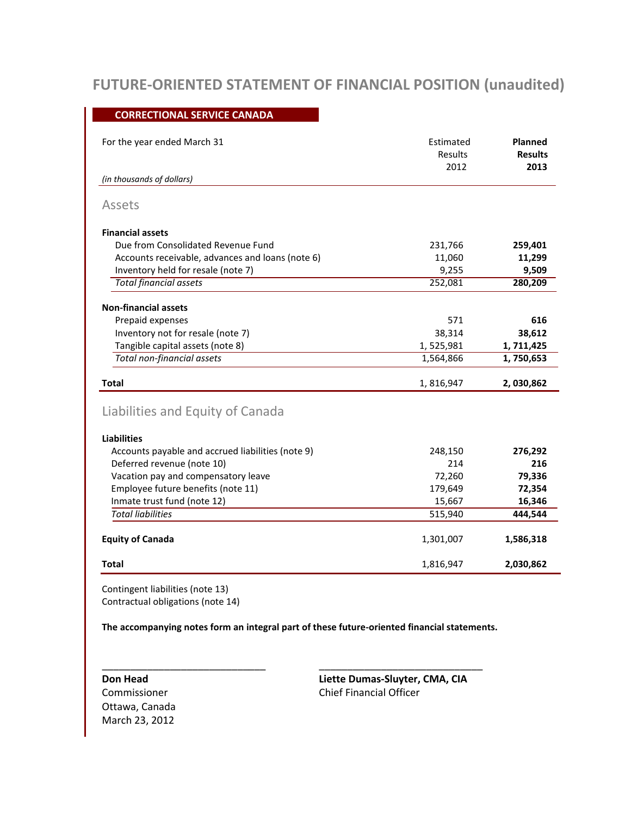# **FUTURE-ORIENTED STATEMENT OF FINANCIAL POSITION (unaudited)**

#### **CORRECTIONAL SERVICE CANADA**

| For the year ended March 31                       | Estimated<br><b>Results</b><br>2012 | Planned<br><b>Results</b><br>2013 |
|---------------------------------------------------|-------------------------------------|-----------------------------------|
| (in thousands of dollars)                         |                                     |                                   |
| Assets                                            |                                     |                                   |
| <b>Financial assets</b>                           |                                     |                                   |
| Due from Consolidated Revenue Fund                | 231,766                             | 259,401                           |
| Accounts receivable, advances and loans (note 6)  | 11,060                              | 11,299                            |
| Inventory held for resale (note 7)                | 9,255                               | 9,509                             |
| <b>Total financial assets</b>                     | 252,081                             | 280,209                           |
| <b>Non-financial assets</b>                       |                                     |                                   |
| Prepaid expenses                                  | 571                                 | 616                               |
| Inventory not for resale (note 7)                 | 38,314                              | 38,612                            |
| Tangible capital assets (note 8)                  | 1,525,981                           | 1,711,425                         |
| Total non-financial assets                        | 1,564,866                           | 1,750,653                         |
| Total                                             | 1,816,947                           | 2,030,862                         |
| Liabilities and Equity of Canada                  |                                     |                                   |
| <b>Liabilities</b>                                |                                     |                                   |
| Accounts payable and accrued liabilities (note 9) | 248,150                             | 276,292                           |
| Deferred revenue (note 10)                        | 214                                 | 216                               |
| Vacation pay and compensatory leave               | 72,260                              | 79,336                            |
| Employee future benefits (note 11)                | 179,649                             | 72,354                            |
| Inmate trust fund (note 12)                       | 15,667                              | 16,346                            |
| <b>Total liabilities</b>                          | 515,940                             | 444,544                           |
| <b>Equity of Canada</b>                           | 1,301,007                           | 1,586,318                         |
| <b>Total</b>                                      | 1,816,947                           | 2,030,862                         |

Contingent liabilities (note 13) Contractual obligations (note 14)

**The accompanying notes form an integral part of these future-oriented financial statements.**

 $\overline{\phantom{a}}$  , and the contract of the contract of the contract of the contract of the contract of the contract of the contract of the contract of the contract of the contract of the contract of the contract of the contrac

Ottawa, Canada March 23, 2012

**Don Head Liette Dumas-Sluyter, CMA, CIA** Commissioner Chief Financial Officer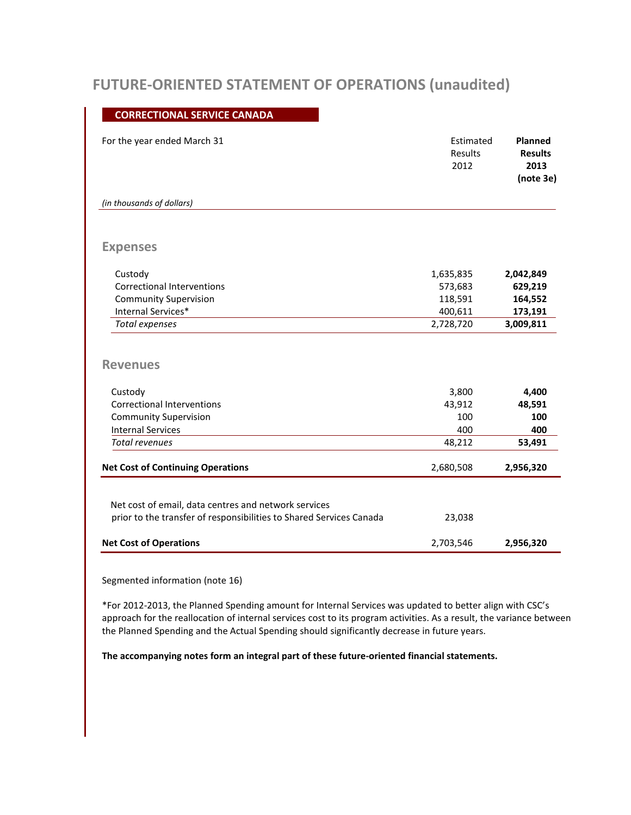## **FUTURE-ORIENTED STATEMENT OF OPERATIONS (unaudited)**

#### **CORRECTIONAL SERVICE CANADA**

|                                                                                                                                                      | Results<br>2012                         | Planned<br>Estimated<br><b>Results</b><br>2013<br>(note 3e) |
|------------------------------------------------------------------------------------------------------------------------------------------------------|-----------------------------------------|-------------------------------------------------------------|
| (in thousands of dollars)                                                                                                                            |                                         |                                                             |
| <b>Expenses</b>                                                                                                                                      |                                         |                                                             |
| Custody                                                                                                                                              | 1,635,835                               | 2,042,849                                                   |
| <b>Correctional Interventions</b>                                                                                                                    | 573,683                                 | 629,219                                                     |
| <b>Community Supervision</b>                                                                                                                         | 118,591                                 | 164,552                                                     |
| Internal Services*                                                                                                                                   | 400,611                                 | 173,191                                                     |
|                                                                                                                                                      |                                         |                                                             |
| <b>Total expenses</b>                                                                                                                                | 2,728,720                               | 3,009,811                                                   |
| <b>Revenues</b><br>Custody<br><b>Correctional Interventions</b><br><b>Community Supervision</b><br><b>Internal Services</b><br><b>Total revenues</b> | 3,800<br>43,912<br>100<br>400<br>48,212 | 4,400<br>48,591<br>100<br>400<br>53,491                     |

Segmented information (note 16)

\*For 2012-2013, the Planned Spending amount for Internal Services was updated to better align with CSC's approach for the reallocation of internal services cost to its program activities. As a result, the variance between the Planned Spending and the Actual Spending should significantly decrease in future years.

**The accompanying notes form an integral part of these future-oriented financial statements.**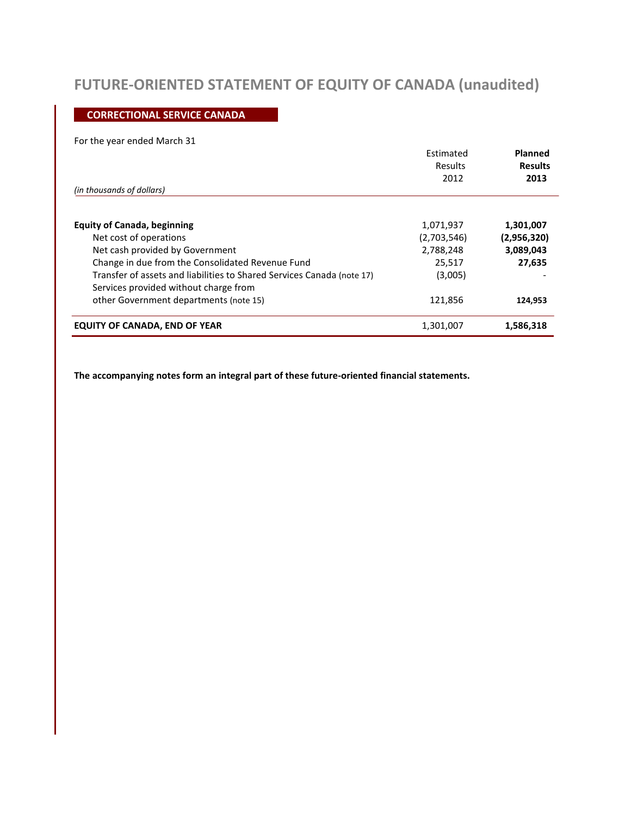# **FUTURE-ORIENTED STATEMENT OF EQUITY OF CANADA (unaudited)**

### **CORRECTIONAL SERVICE CANADA**

#### For the year ended March 31

|                                                                                                                 | Estimated<br>Results<br>2012 | Planned<br><b>Results</b><br>2013 |
|-----------------------------------------------------------------------------------------------------------------|------------------------------|-----------------------------------|
| (in thousands of dollars)                                                                                       |                              |                                   |
| <b>Equity of Canada, beginning</b>                                                                              | 1,071,937                    | 1,301,007                         |
| Net cost of operations                                                                                          | (2,703,546)                  | (2,956,320)                       |
| Net cash provided by Government                                                                                 | 2,788,248                    | 3,089,043                         |
| Change in due from the Consolidated Revenue Fund                                                                | 25,517                       | 27,635                            |
| Transfer of assets and liabilities to Shared Services Canada (note 17)<br>Services provided without charge from | (3,005)                      |                                   |
| other Government departments (note 15)                                                                          | 121,856                      | 124,953                           |
| <b>EQUITY OF CANADA, END OF YEAR</b>                                                                            | 1,301,007                    | 1,586,318                         |

**The accompanying notes form an integral part of these future-oriented financial statements.**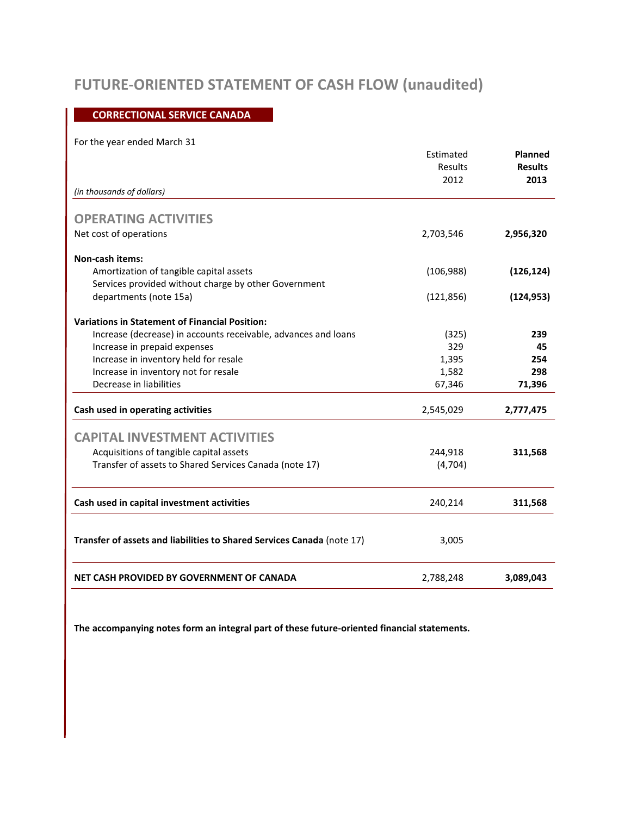# **FUTURE-ORIENTED STATEMENT OF CASH FLOW (unaudited)**

### **CORRECTIONAL SERVICE CANADA**

#### For the year ended March 31

|                                                                        | Estimated  | Planned        |
|------------------------------------------------------------------------|------------|----------------|
|                                                                        | Results    | <b>Results</b> |
|                                                                        | 2012       | 2013           |
| (in thousands of dollars)                                              |            |                |
| <b>OPERATING ACTIVITIES</b>                                            |            |                |
| Net cost of operations                                                 | 2,703,546  | 2,956,320      |
| <b>Non-cash items:</b>                                                 |            |                |
| Amortization of tangible capital assets                                | (106, 988) | (126, 124)     |
| Services provided without charge by other Government                   |            |                |
| departments (note 15a)                                                 | (121, 856) | (124, 953)     |
| <b>Variations in Statement of Financial Position:</b>                  |            |                |
| Increase (decrease) in accounts receivable, advances and loans         | (325)      | 239            |
| Increase in prepaid expenses                                           | 329        | 45             |
| Increase in inventory held for resale                                  | 1,395      | 254            |
| Increase in inventory not for resale                                   | 1,582      | 298            |
| Decrease in liabilities                                                | 67,346     | 71,396         |
| Cash used in operating activities                                      | 2,545,029  | 2,777,475      |
| <b>CAPITAL INVESTMENT ACTIVITIES</b>                                   |            |                |
| Acquisitions of tangible capital assets                                | 244,918    | 311,568        |
| Transfer of assets to Shared Services Canada (note 17)                 | (4,704)    |                |
|                                                                        |            |                |
| Cash used in capital investment activities                             | 240,214    | 311,568        |
|                                                                        |            |                |
| Transfer of assets and liabilities to Shared Services Canada (note 17) | 3,005      |                |
| NET CASH PROVIDED BY GOVERNMENT OF CANADA                              | 2,788,248  | 3,089,043      |

**The accompanying notes form an integral part of these future-oriented financial statements.**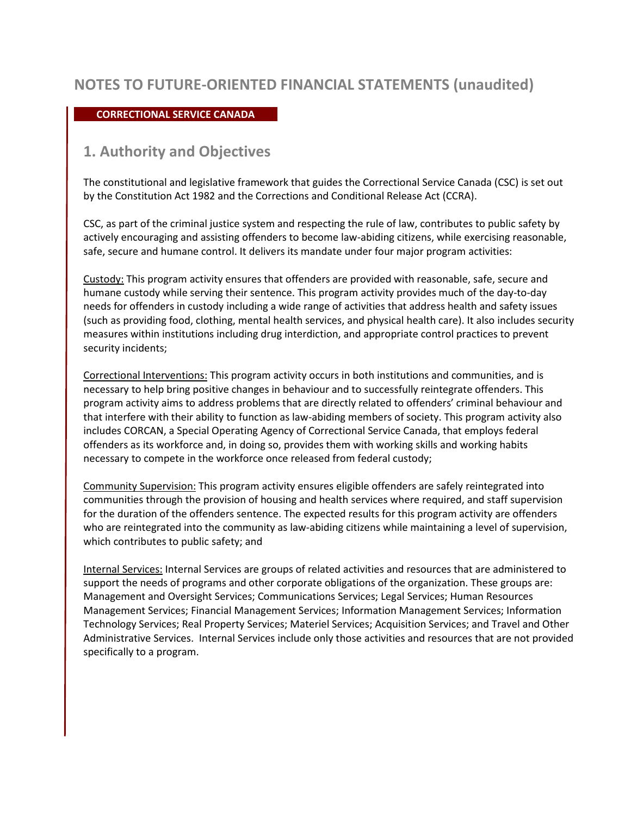#### **CORRECTIONAL SERVICE CANADA**

### **1. Authority and Objectives**

The constitutional and legislative framework that guides the Correctional Service Canada (CSC) is set out by the Constitution Act 1982 and the Corrections and Conditional Release Act (CCRA).

CSC, as part of the criminal justice system and respecting the rule of law, contributes to public safety by actively encouraging and assisting offenders to become law-abiding citizens, while exercising reasonable, safe, secure and humane control. It delivers its mandate under four major program activities:

Custody: This program activity ensures that offenders are provided with reasonable, safe, secure and humane custody while serving their sentence. This program activity provides much of the day-to-day needs for offenders in custody including a wide range of activities that address health and safety issues (such as providing food, clothing, mental health services, and physical health care). It also includes security measures within institutions including drug interdiction, and appropriate control practices to prevent security incidents;

Correctional Interventions: This program activity occurs in both institutions and communities, and is necessary to help bring positive changes in behaviour and to successfully reintegrate offenders. This program activity aims to address problems that are directly related to offenders' criminal behaviour and that interfere with their ability to function as law-abiding members of society. This program activity also includes CORCAN, a Special Operating Agency of Correctional Service Canada, that employs federal offenders as its workforce and, in doing so, provides them with working skills and working habits necessary to compete in the workforce once released from federal custody;

Community Supervision: This program activity ensures eligible offenders are safely reintegrated into communities through the provision of housing and health services where required, and staff supervision for the duration of the offenders sentence. The expected results for this program activity are offenders who are reintegrated into the community as law-abiding citizens while maintaining a level of supervision, which contributes to public safety; and

Internal Services: Internal Services are groups of related activities and resources that are administered to support the needs of programs and other corporate obligations of the organization. These groups are: Management and Oversight Services; Communications Services; Legal Services; Human Resources Management Services; Financial Management Services; Information Management Services; Information Technology Services; Real Property Services; Materiel Services; Acquisition Services; and Travel and Other Administrative Services. Internal Services include only those activities and resources that are not provided specifically to a program.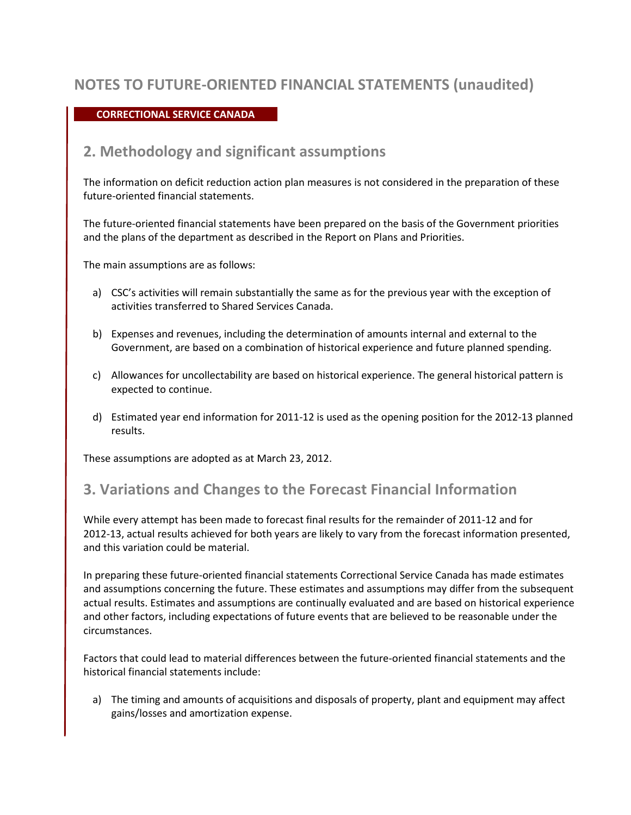#### **CORRECTIONAL SERVICE CANADA**

### **2. Methodology and significant assumptions**

The information on deficit reduction action plan measures is not considered in the preparation of these future-oriented financial statements.

The future-oriented financial statements have been prepared on the basis of the Government priorities and the plans of the department as described in the Report on Plans and Priorities.

The main assumptions are as follows:

- a) CSC's activities will remain substantially the same as for the previous year with the exception of activities transferred to Shared Services Canada.
- b) Expenses and revenues, including the determination of amounts internal and external to the Government, are based on a combination of historical experience and future planned spending.
- c) Allowances for uncollectability are based on historical experience. The general historical pattern is expected to continue.
- d) Estimated year end information for 2011-12 is used as the opening position for the 2012-13 planned results.

These assumptions are adopted as at March 23, 2012.

### **3. Variations and Changes to the Forecast Financial Information**

While every attempt has been made to forecast final results for the remainder of 2011-12 and for 2012-13, actual results achieved for both years are likely to vary from the forecast information presented, and this variation could be material.

In preparing these future-oriented financial statements Correctional Service Canada has made estimates and assumptions concerning the future. These estimates and assumptions may differ from the subsequent actual results. Estimates and assumptions are continually evaluated and are based on historical experience and other factors, including expectations of future events that are believed to be reasonable under the circumstances.

Factors that could lead to material differences between the future-oriented financial statements and the historical financial statements include:

a) The timing and amounts of acquisitions and disposals of property, plant and equipment may affect gains/losses and amortization expense.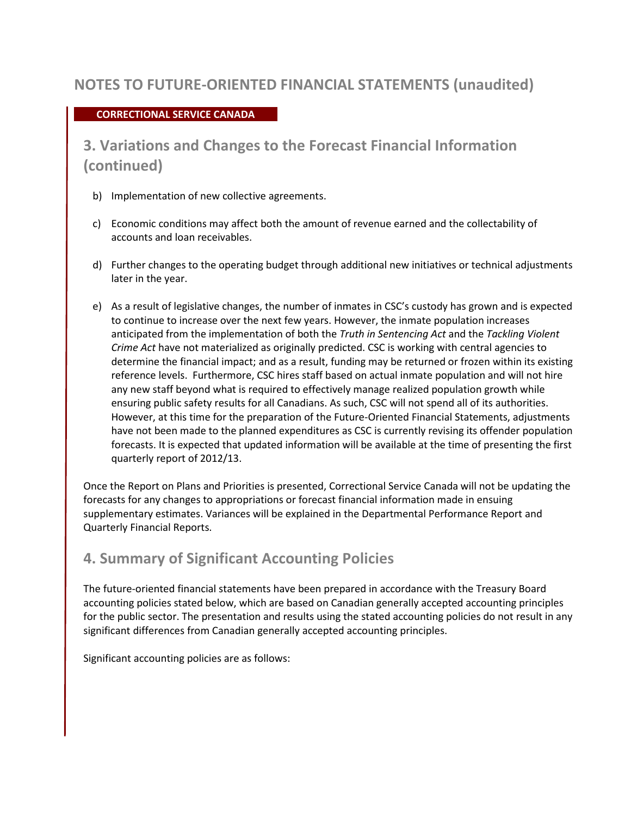### **CORRECTIONAL SERVICE CANADA**

**3. Variations and Changes to the Forecast Financial Information (continued)**

- b) Implementation of new collective agreements.
- c) Economic conditions may affect both the amount of revenue earned and the collectability of accounts and loan receivables.
- d) Further changes to the operating budget through additional new initiatives or technical adjustments later in the year.
- e) As a result of legislative changes, the number of inmates in CSC's custody has grown and is expected to continue to increase over the next few years. However, the inmate population increases anticipated from the implementation of both the *Truth in Sentencing Act* and the *Tackling Violent Crime Act* have not materialized as originally predicted. CSC is working with central agencies to determine the financial impact; and as a result, funding may be returned or frozen within its existing reference levels. Furthermore, CSC hires staff based on actual inmate population and will not hire any new staff beyond what is required to effectively manage realized population growth while ensuring public safety results for all Canadians. As such, CSC will not spend all of its authorities. However, at this time for the preparation of the Future-Oriented Financial Statements, adjustments have not been made to the planned expenditures as CSC is currently revising its offender population forecasts. It is expected that updated information will be available at the time of presenting the first quarterly report of 2012/13.

Once the Report on Plans and Priorities is presented, Correctional Service Canada will not be updating the forecasts for any changes to appropriations or forecast financial information made in ensuing supplementary estimates. Variances will be explained in the Departmental Performance Report and Quarterly Financial Reports.

### **4. Summary of Significant Accounting Policies**

The future-oriented financial statements have been prepared in accordance with the Treasury Board accounting policies stated below, which are based on Canadian generally accepted accounting principles for the public sector. The presentation and results using the stated accounting policies do not result in any significant differences from Canadian generally accepted accounting principles.

Significant accounting policies are as follows: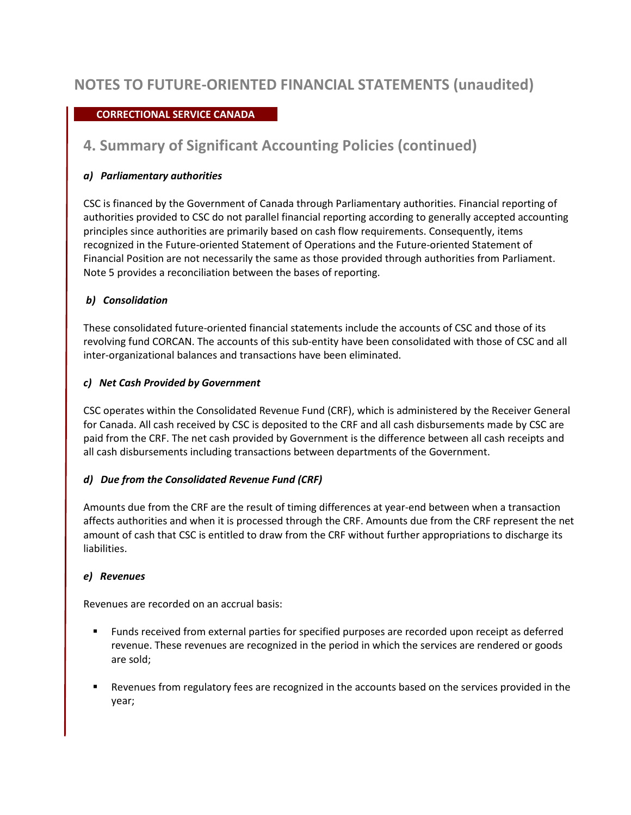### **CORRECTIONAL SERVICE CANADA**

## **4. Summary of Significant Accounting Policies (continued)**

### *a) Parliamentary authorities*

CSC is financed by the Government of Canada through Parliamentary authorities. Financial reporting of authorities provided to CSC do not parallel financial reporting according to generally accepted accounting principles since authorities are primarily based on cash flow requirements. Consequently, items recognized in the Future-oriented Statement of Operations and the Future-oriented Statement of Financial Position are not necessarily the same as those provided through authorities from Parliament. Note 5 provides a reconciliation between the bases of reporting.

### *b) Consolidation*

These consolidated future-oriented financial statements include the accounts of CSC and those of its revolving fund CORCAN. The accounts of this sub-entity have been consolidated with those of CSC and all inter-organizational balances and transactions have been eliminated.

### *c) Net Cash Provided by Government*

CSC operates within the Consolidated Revenue Fund (CRF), which is administered by the Receiver General for Canada. All cash received by CSC is deposited to the CRF and all cash disbursements made by CSC are paid from the CRF. The net cash provided by Government is the difference between all cash receipts and all cash disbursements including transactions between departments of the Government.

### *d) Due from the Consolidated Revenue Fund (CRF)*

Amounts due from the CRF are the result of timing differences at year-end between when a transaction affects authorities and when it is processed through the CRF. Amounts due from the CRF represent the net amount of cash that CSC is entitled to draw from the CRF without further appropriations to discharge its liabilities.

#### *e) Revenues*

Revenues are recorded on an accrual basis:

- Funds received from external parties for specified purposes are recorded upon receipt as deferred revenue. These revenues are recognized in the period in which the services are rendered or goods are sold;
- Revenues from regulatory fees are recognized in the accounts based on the services provided in the year;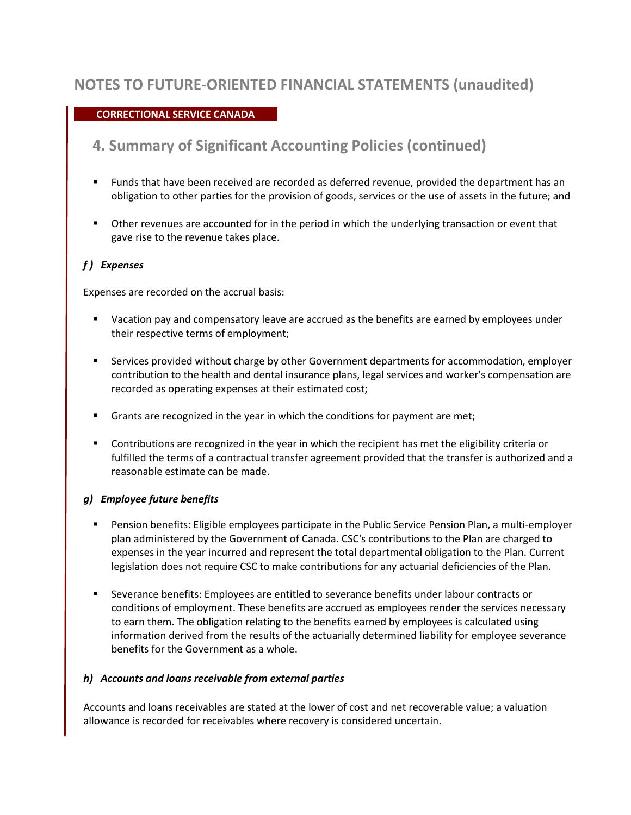### **CORRECTIONAL SERVICE CANADA**

## **4. Summary of Significant Accounting Policies (continued)**

- Funds that have been received are recorded as deferred revenue, provided the department has an obligation to other parties for the provision of goods, services or the use of assets in the future; and
- Other revenues are accounted for in the period in which the underlying transaction or event that gave rise to the revenue takes place.

### *f ) Expenses*

Expenses are recorded on the accrual basis:

- Vacation pay and compensatory leave are accrued as the benefits are earned by employees under their respective terms of employment;
- **Services provided without charge by other Government departments for accommodation, employer** contribution to the health and dental insurance plans, legal services and worker's compensation are recorded as operating expenses at their estimated cost;
- Grants are recognized in the year in which the conditions for payment are met;
- **Contributions are recognized in the year in which the recipient has met the eligibility criteria or** fulfilled the terms of a contractual transfer agreement provided that the transfer is authorized and a reasonable estimate can be made.

#### *g) Employee future benefits*

- Pension benefits: Eligible employees participate in the Public Service Pension Plan, a multi-employer plan administered by the Government of Canada. CSC's contributions to the Plan are charged to expenses in the year incurred and represent the total departmental obligation to the Plan. Current legislation does not require CSC to make contributions for any actuarial deficiencies of the Plan.
- Severance benefits: Employees are entitled to severance benefits under labour contracts or conditions of employment. These benefits are accrued as employees render the services necessary to earn them. The obligation relating to the benefits earned by employees is calculated using information derived from the results of the actuarially determined liability for employee severance benefits for the Government as a whole.

#### *h) Accounts and loans receivable from external parties*

Accounts and loans receivables are stated at the lower of cost and net recoverable value; a valuation allowance is recorded for receivables where recovery is considered uncertain.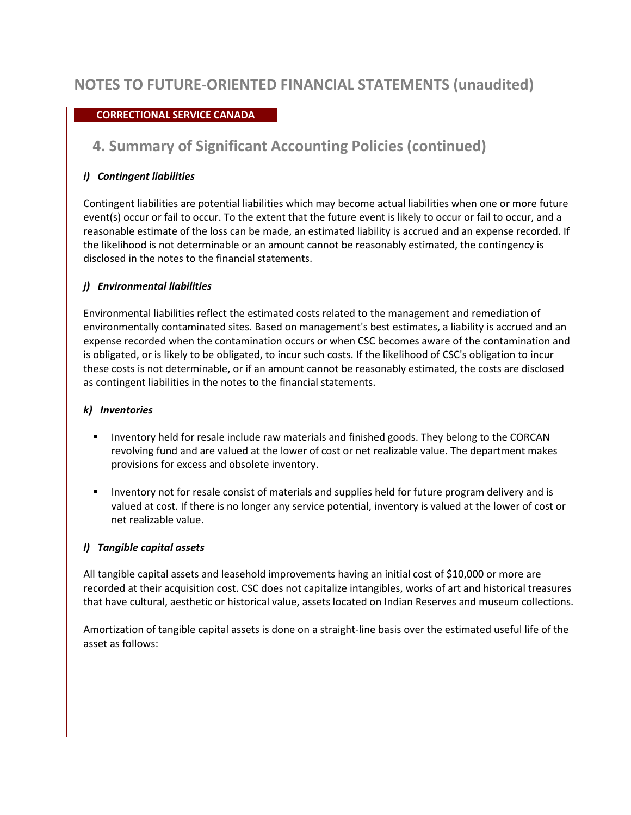### **CORRECTIONAL SERVICE CANADA**

## **4. Summary of Significant Accounting Policies (continued)**

### *i) Contingent liabilities*

Contingent liabilities are potential liabilities which may become actual liabilities when one or more future event(s) occur or fail to occur. To the extent that the future event is likely to occur or fail to occur, and a reasonable estimate of the loss can be made, an estimated liability is accrued and an expense recorded. If the likelihood is not determinable or an amount cannot be reasonably estimated, the contingency is disclosed in the notes to the financial statements.

### *j) Environmental liabilities*

Environmental liabilities reflect the estimated costs related to the management and remediation of environmentally contaminated sites. Based on management's best estimates, a liability is accrued and an expense recorded when the contamination occurs or when CSC becomes aware of the contamination and is obligated, or is likely to be obligated, to incur such costs. If the likelihood of CSC's obligation to incur these costs is not determinable, or if an amount cannot be reasonably estimated, the costs are disclosed as contingent liabilities in the notes to the financial statements.

#### *k) Inventories*

- **IDED FINGT** Inventory held for resale include raw materials and finished goods. They belong to the CORCAN revolving fund and are valued at the lower of cost or net realizable value. The department makes provisions for excess and obsolete inventory.
- **Inventory not for resale consist of materials and supplies held for future program delivery and is** valued at cost. If there is no longer any service potential, inventory is valued at the lower of cost or net realizable value.

### *l) Tangible capital assets*

All tangible capital assets and leasehold improvements having an initial cost of \$10,000 or more are recorded at their acquisition cost. CSC does not capitalize intangibles, works of art and historical treasures that have cultural, aesthetic or historical value, assets located on Indian Reserves and museum collections.

Amortization of tangible capital assets is done on a straight-line basis over the estimated useful life of the asset as follows: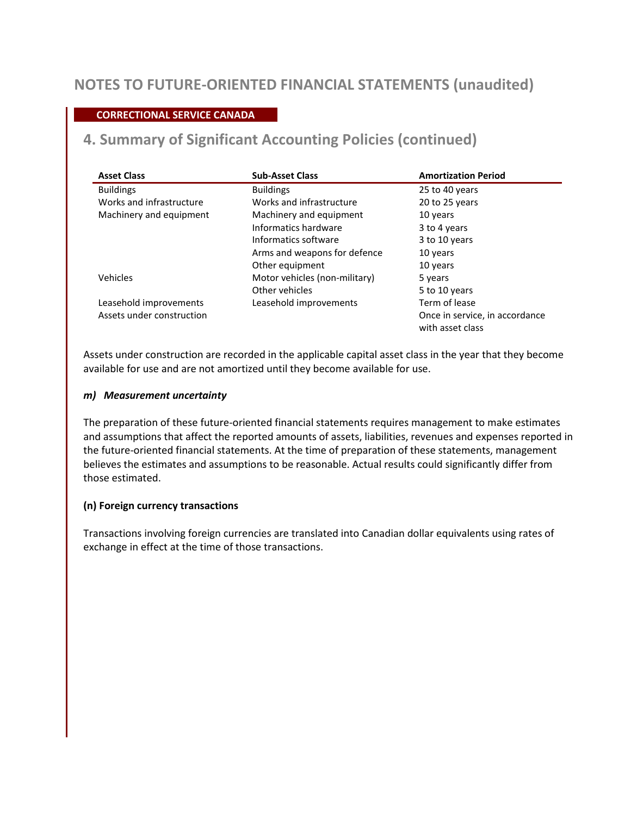### **CORRECTIONAL SERVICE CANADA**

## **4. Summary of Significant Accounting Policies (continued)**

| <b>Asset Class</b>        | <b>Sub-Asset Class</b>        | <b>Amortization Period</b>     |
|---------------------------|-------------------------------|--------------------------------|
| <b>Buildings</b>          | <b>Buildings</b>              | 25 to 40 years                 |
| Works and infrastructure  | Works and infrastructure      | 20 to 25 years                 |
| Machinery and equipment   | Machinery and equipment       | 10 years                       |
|                           | Informatics hardware          | 3 to 4 years                   |
|                           | Informatics software          | 3 to 10 years                  |
|                           | Arms and weapons for defence  | 10 years                       |
|                           | Other equipment               | 10 years                       |
| Vehicles                  | Motor vehicles (non-military) | 5 years                        |
|                           | Other vehicles                | 5 to 10 years                  |
| Leasehold improvements    | Leasehold improvements        | Term of lease                  |
| Assets under construction |                               | Once in service, in accordance |
|                           |                               | with asset class               |

Assets under construction are recorded in the applicable capital asset class in the year that they become available for use and are not amortized until they become available for use.

#### *m) Measurement uncertainty*

The preparation of these future-oriented financial statements requires management to make estimates and assumptions that affect the reported amounts of assets, liabilities, revenues and expenses reported in the future-oriented financial statements. At the time of preparation of these statements, management believes the estimates and assumptions to be reasonable. Actual results could significantly differ from those estimated.

#### **(n) Foreign currency transactions**

Transactions involving foreign currencies are translated into Canadian dollar equivalents using rates of exchange in effect at the time of those transactions.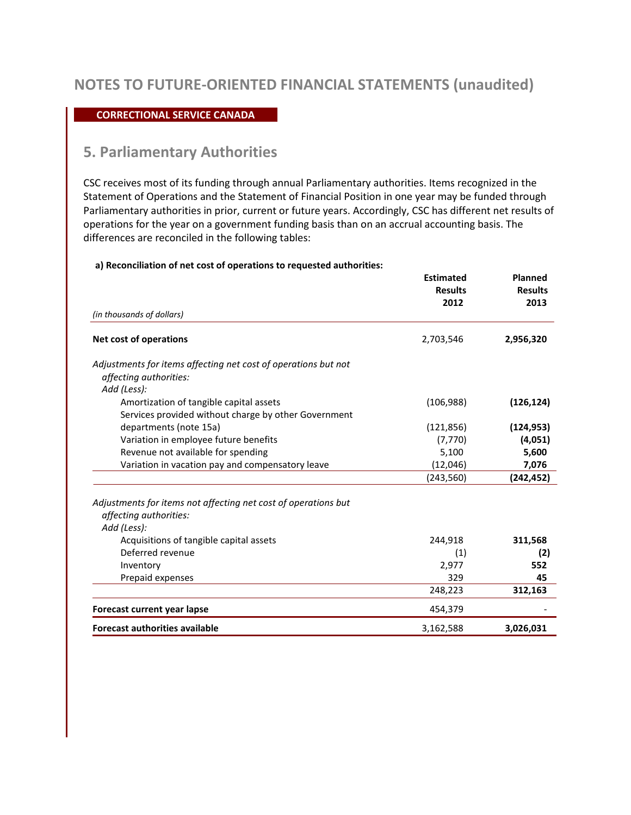#### **CORRECTIONAL SERVICE CANADA**

### **5. Parliamentary Authorities**

CSC receives most of its funding through annual Parliamentary authorities. Items recognized in the Statement of Operations and the Statement of Financial Position in one year may be funded through Parliamentary authorities in prior, current or future years. Accordingly, CSC has different net results of operations for the year on a government funding basis than on an accrual accounting basis. The differences are reconciled in the following tables:

#### **a) Reconciliation of net cost of operations to requested authorities:**

|                                                                                                         | <b>Estimated</b><br><b>Results</b><br>2012 | <b>Planned</b><br><b>Results</b><br>2013 |
|---------------------------------------------------------------------------------------------------------|--------------------------------------------|------------------------------------------|
| (in thousands of dollars)                                                                               |                                            |                                          |
| <b>Net cost of operations</b>                                                                           | 2,703,546                                  | 2,956,320                                |
| Adjustments for items affecting net cost of operations but not<br>affecting authorities:<br>Add (Less): |                                            |                                          |
| Amortization of tangible capital assets<br>Services provided without charge by other Government         | (106, 988)                                 | (126, 124)                               |
| departments (note 15a)                                                                                  | (121, 856)                                 | (124, 953)                               |
| Variation in employee future benefits                                                                   | (7, 770)                                   | (4,051)                                  |
| Revenue not available for spending                                                                      | 5,100                                      | 5,600                                    |
| Variation in vacation pay and compensatory leave                                                        | (12,046)                                   | 7,076                                    |
|                                                                                                         | (243, 560)                                 | (242, 452)                               |
| Adjustments for items not affecting net cost of operations but<br>affecting authorities:<br>Add (Less): |                                            |                                          |
| Acquisitions of tangible capital assets                                                                 | 244,918                                    | 311,568                                  |
| Deferred revenue                                                                                        | (1)                                        | (2)                                      |
| Inventory                                                                                               | 2,977                                      | 552                                      |
| Prepaid expenses                                                                                        | 329                                        | 45                                       |
|                                                                                                         | 248,223                                    | 312,163                                  |
| Forecast current year lapse                                                                             | 454,379                                    |                                          |
| <b>Forecast authorities available</b>                                                                   | 3,162,588                                  | 3,026,031                                |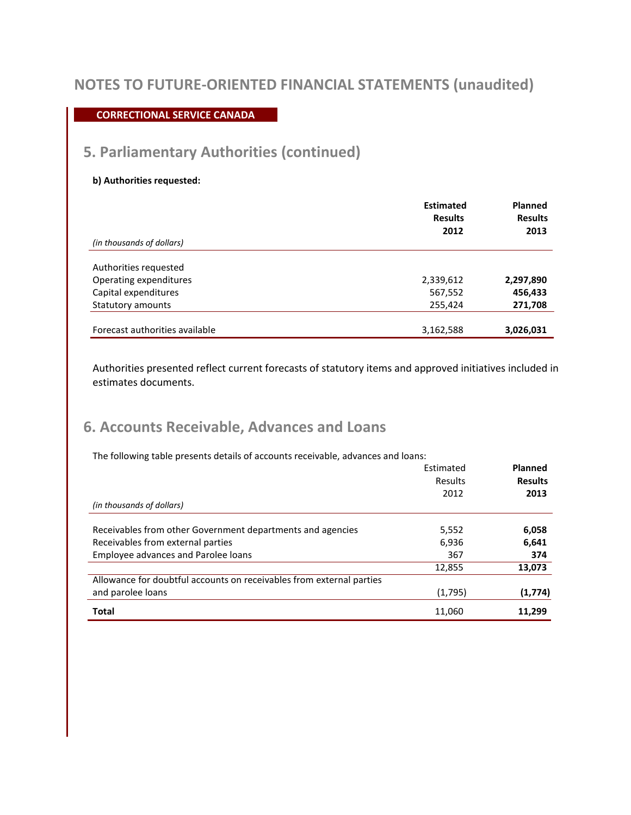### **CORRECTIONAL SERVICE CANADA**

## **5. Parliamentary Authorities (continued)**

#### **b) Authorities requested:**

|                                | <b>Estimated</b><br><b>Results</b> | <b>Planned</b><br><b>Results</b> |
|--------------------------------|------------------------------------|----------------------------------|
| (in thousands of dollars)      | 2012                               | 2013                             |
| Authorities requested          |                                    |                                  |
| Operating expenditures         | 2,339,612                          | 2,297,890                        |
| Capital expenditures           | 567,552                            | 456,433                          |
| Statutory amounts              | 255,424                            | 271,708                          |
| Forecast authorities available | 3,162,588                          | 3,026,031                        |

Authorities presented reflect current forecasts of statutory items and approved initiatives included in estimates documents.

## **6. Accounts Receivable, Advances and Loans**

The following table presents details of accounts receivable, advances and loans:

|                                                                      | Estimated | Planned        |
|----------------------------------------------------------------------|-----------|----------------|
|                                                                      | Results   | <b>Results</b> |
|                                                                      | 2012      | 2013           |
| (in thousands of dollars)                                            |           |                |
|                                                                      |           |                |
| Receivables from other Government departments and agencies           | 5,552     | 6,058          |
| Receivables from external parties                                    | 6,936     | 6,641          |
| Employee advances and Parolee loans                                  | 367       | 374            |
|                                                                      | 12,855    | 13,073         |
| Allowance for doubtful accounts on receivables from external parties |           |                |
| and parolee loans                                                    | (1,795)   | (1,774)        |
| <b>Total</b>                                                         | 11,060    | 11,299         |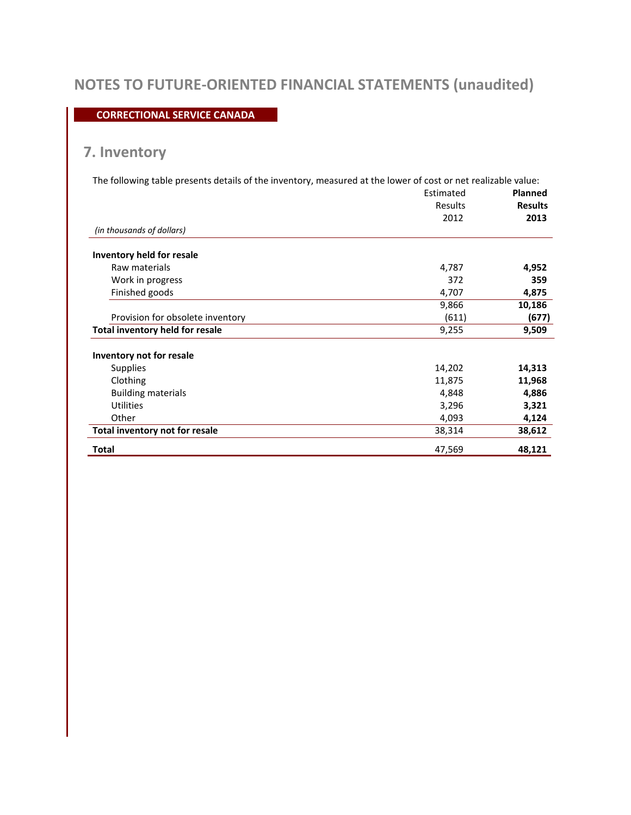### **CORRECTIONAL SERVICE CANADA**

# **7. Inventory**

| The following table presents details of the inventory, measured at the lower of cost or net realizable value: |           |                |
|---------------------------------------------------------------------------------------------------------------|-----------|----------------|
|                                                                                                               | Estimated | <b>Planned</b> |
|                                                                                                               | Results   | <b>Results</b> |
|                                                                                                               | 2012      | 2013           |
| (in thousands of dollars)                                                                                     |           |                |
| Inventory held for resale                                                                                     |           |                |
| Raw materials                                                                                                 | 4,787     | 4,952          |
| Work in progress                                                                                              | 372       | 359            |
| Finished goods                                                                                                | 4,707     | 4,875          |
|                                                                                                               | 9,866     | 10,186         |
| Provision for obsolete inventory                                                                              | (611)     | (677)          |
| <b>Total inventory held for resale</b>                                                                        | 9,255     | 9,509          |
| Inventory not for resale                                                                                      |           |                |
| <b>Supplies</b>                                                                                               | 14,202    | 14,313         |
| Clothing                                                                                                      | 11,875    | 11,968         |
| <b>Building materials</b>                                                                                     | 4,848     | 4,886          |
| <b>Utilities</b>                                                                                              | 3,296     | 3,321          |
| Other                                                                                                         | 4,093     | 4,124          |
| Total inventory not for resale                                                                                | 38,314    | 38,612         |
| Total                                                                                                         | 47,569    | 48,121         |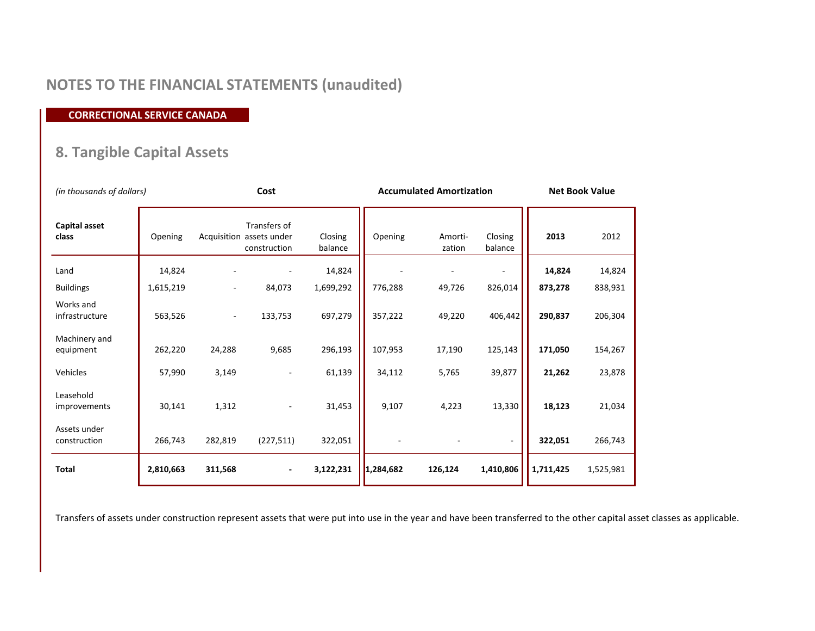# **NOTES TO THE FINANCIAL STATEMENTS (unaudited)**

**CORRECTIONAL SERVICE CANADA** 

# **8. Tangible Capital Assets**

|                               | (in thousands of dollars) |                          | Cost                                                     |                    | <b>Accumulated Amortization</b> |                   |                    | <b>Net Book Value</b> |           |
|-------------------------------|---------------------------|--------------------------|----------------------------------------------------------|--------------------|---------------------------------|-------------------|--------------------|-----------------------|-----------|
| <b>Capital asset</b><br>class | Opening                   |                          | Transfers of<br>Acquisition assets under<br>construction | Closing<br>balance | Opening                         | Amorti-<br>zation | Closing<br>balance | 2013                  | 2012      |
| Land                          | 14,824                    |                          |                                                          | 14,824             |                                 |                   |                    | 14,824                | 14,824    |
| <b>Buildings</b>              | 1,615,219                 |                          | 84,073                                                   | 1,699,292          | 776,288                         | 49,726            | 826,014            | 873,278               | 838,931   |
| Works and<br>infrastructure   | 563,526                   | $\overline{\phantom{a}}$ | 133,753                                                  | 697,279            | 357,222                         | 49,220            | 406,442            | 290,837               | 206,304   |
| Machinery and<br>equipment    | 262,220                   | 24,288                   | 9,685                                                    | 296,193            | 107,953                         | 17,190            | 125,143            | 171,050               | 154,267   |
| Vehicles                      | 57,990                    | 3,149                    |                                                          | 61,139             | 34,112                          | 5,765             | 39,877             | 21,262                | 23,878    |
| Leasehold<br>improvements     | 30,141                    | 1,312                    |                                                          | 31,453             | 9,107                           | 4,223             | 13,330             | 18,123                | 21,034    |
| Assets under<br>construction  | 266,743                   | 282,819                  | (227, 511)                                               | 322,051            |                                 |                   | $\blacksquare$     | 322,051               | 266,743   |
| Total                         | 2,810,663                 | 311,568                  | $\blacksquare$                                           | 3,122,231          | 1,284,682                       | 126,124           | 1,410,806          | 1,711,425             | 1,525,981 |

Transfers of assets under construction represent assets that were put into use in the year and have been transferred to the other capital asset classes as applicable.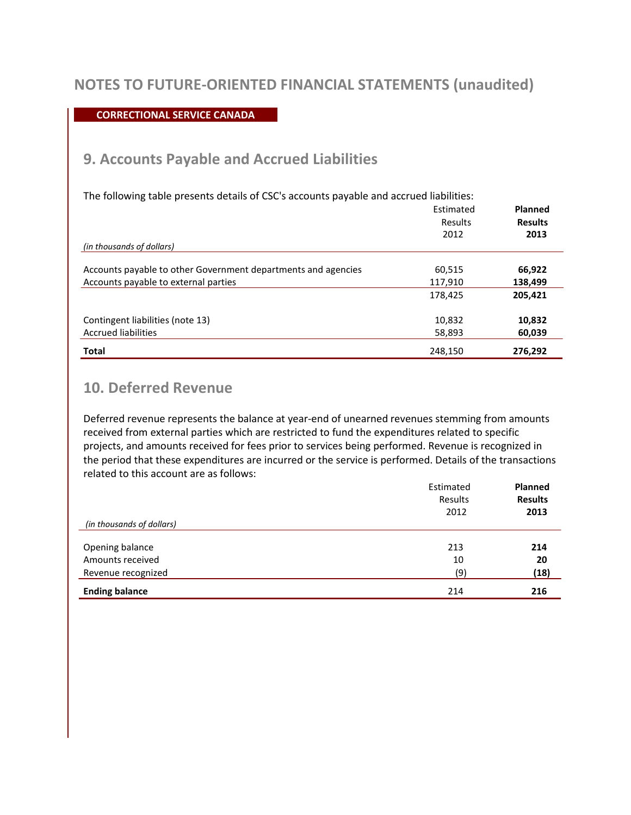### **CORRECTIONAL SERVICE CANADA**

### **9. Accounts Payable and Accrued Liabilities**

| The following table presents details of CSC's accounts payable and accrued liabilities: |           |                |
|-----------------------------------------------------------------------------------------|-----------|----------------|
|                                                                                         | Estimated | Planned        |
|                                                                                         | Results   | <b>Results</b> |
|                                                                                         | 2012      | 2013           |
| (in thousands of dollars)                                                               |           |                |
|                                                                                         |           |                |
| Accounts payable to other Government departments and agencies                           | 60,515    | 66,922         |
| Accounts payable to external parties                                                    | 117,910   | 138,499        |
|                                                                                         | 178,425   | 205,421        |
| Contingent liabilities (note 13)                                                        | 10,832    | 10,832         |
|                                                                                         |           |                |
| <b>Accrued liabilities</b>                                                              | 58,893    | 60,039         |
| <b>Total</b>                                                                            | 248,150   | 276,292        |

## **10. Deferred Revenue**

Deferred revenue represents the balance at year-end of unearned revenues stemming from amounts received from external parties which are restricted to fund the expenditures related to specific projects, and amounts received for fees prior to services being performed. Revenue is recognized in the period that these expenditures are incurred or the service is performed. Details of the transactions related to this account are as follows:

|                           | Estimated | Planned        |
|---------------------------|-----------|----------------|
|                           | Results   | <b>Results</b> |
|                           | 2012      | 2013           |
| (in thousands of dollars) |           |                |
|                           |           |                |
| Opening balance           | 213       | 214            |
| Amounts received          | 10        | 20             |
| Revenue recognized        | (9)       | (18)           |
| <b>Ending balance</b>     | 214       | 216            |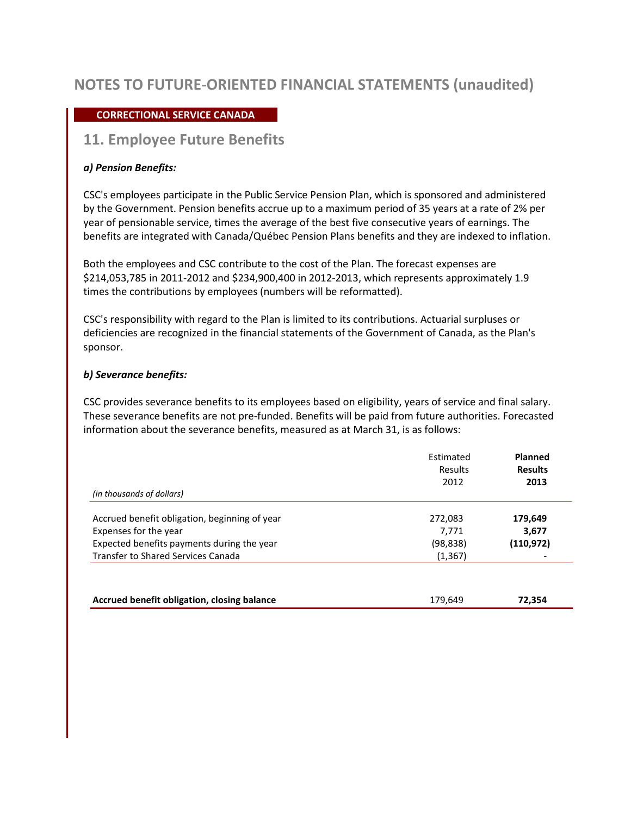### **CORRECTIONAL SERVICE CANADA**

### **11. Employee Future Benefits**

#### *a) Pension Benefits:*

CSC's employees participate in the Public Service Pension Plan, which is sponsored and administered by the Government. Pension benefits accrue up to a maximum period of 35 years at a rate of 2% per year of pensionable service, times the average of the best five consecutive years of earnings. The benefits are integrated with Canada/Québec Pension Plans benefits and they are indexed to inflation.

Both the employees and CSC contribute to the cost of the Plan. The forecast expenses are \$214,053,785 in 2011-2012 and \$234,900,400 in 2012-2013, which represents approximately 1.9 times the contributions by employees (numbers will be reformatted).

CSC's responsibility with regard to the Plan is limited to its contributions. Actuarial surpluses or deficiencies are recognized in the financial statements of the Government of Canada, as the Plan's sponsor.

#### *b) Severance benefits:*

CSC provides severance benefits to its employees based on eligibility, years of service and final salary. These severance benefits are not pre-funded. Benefits will be paid from future authorities. Forecasted information about the severance benefits, measured as at March 31, is as follows:

|                                               | Estimated<br><b>Results</b> | Planned<br><b>Results</b> |  |
|-----------------------------------------------|-----------------------------|---------------------------|--|
|                                               | 2012                        | 2013                      |  |
| (in thousands of dollars)                     |                             |                           |  |
| Accrued benefit obligation, beginning of year | 272,083                     | 179,649                   |  |
| Expenses for the year                         | 7,771                       | 3,677                     |  |
| Expected benefits payments during the year    | (98, 838)                   | (110, 972)                |  |
| <b>Transfer to Shared Services Canada</b>     | (1, 367)                    | $\overline{\phantom{a}}$  |  |

**Accrued benefit obligation, closing balance** 179,649 **72,354 72,354**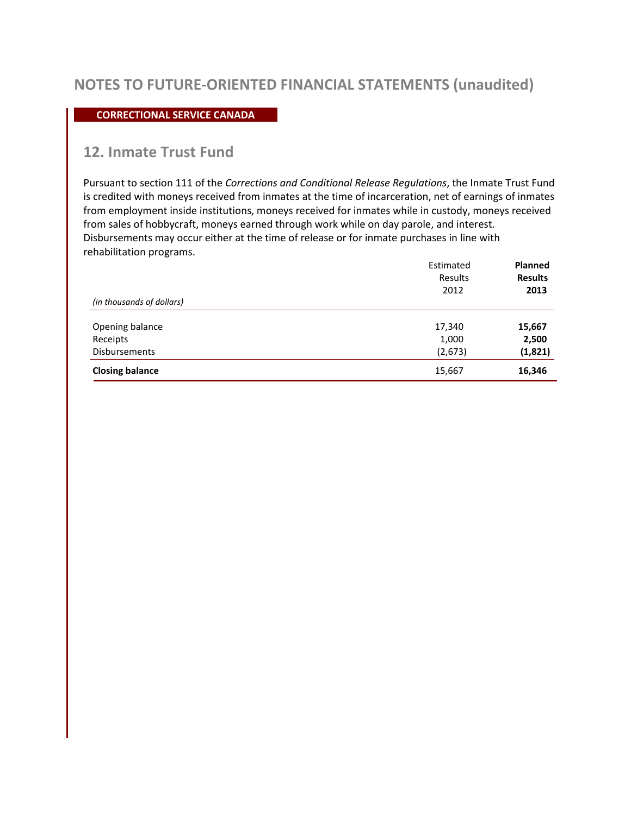#### **CORRECTIONAL SERVICE CANADA**

### **12. Inmate Trust Fund**

Pursuant to section 111 of the *Corrections and Conditional Release Regulations*, the Inmate Trust Fund is credited with moneys received from inmates at the time of incarceration, net of earnings of inmates from employment inside institutions, moneys received for inmates while in custody, moneys received from sales of hobbycraft, moneys earned through work while on day parole, and interest. Disbursements may occur either at the time of release or for inmate purchases in line with rehabilitation programs.

|                           | Estimated<br>Results<br>2012 | <b>Planned</b><br><b>Results</b><br>2013 |  |
|---------------------------|------------------------------|------------------------------------------|--|
| (in thousands of dollars) |                              |                                          |  |
| Opening balance           | 17,340                       | 15,667                                   |  |
| Receipts                  | 1,000                        | 2,500                                    |  |
| <b>Disbursements</b>      | (2, 673)                     | (1,821)                                  |  |
| <b>Closing balance</b>    | 15,667                       | 16,346                                   |  |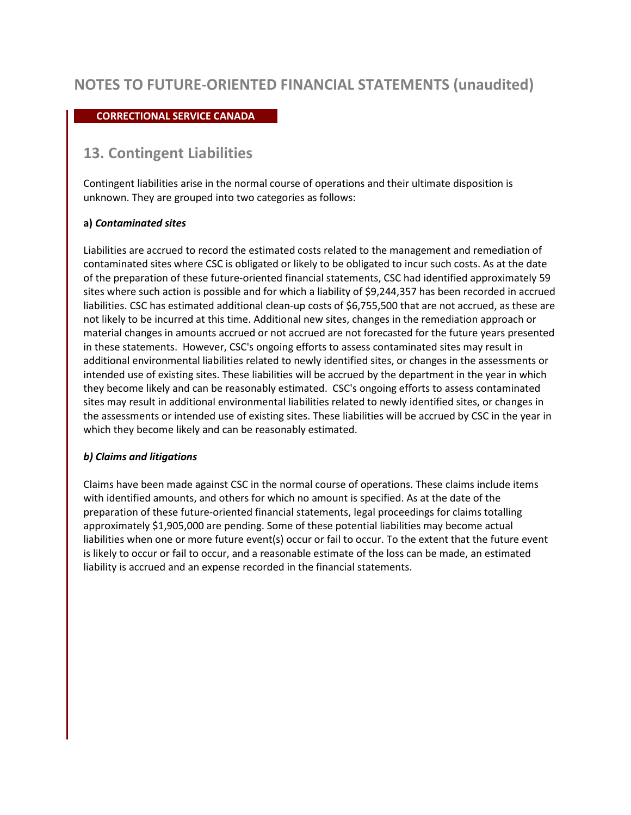### **CORRECTIONAL SERVICE CANADA**

### **13. Contingent Liabilities**

Contingent liabilities arise in the normal course of operations and their ultimate disposition is unknown. They are grouped into two categories as follows:

### **a)** *Contaminated sites*

Liabilities are accrued to record the estimated costs related to the management and remediation of contaminated sites where CSC is obligated or likely to be obligated to incur such costs. As at the date of the preparation of these future-oriented financial statements, CSC had identified approximately 59 sites where such action is possible and for which a liability of \$9,244,357 has been recorded in accrued liabilities. CSC has estimated additional clean-up costs of \$6,755,500 that are not accrued, as these are not likely to be incurred at this time. Additional new sites, changes in the remediation approach or material changes in amounts accrued or not accrued are not forecasted for the future years presented in these statements. However, CSC's ongoing efforts to assess contaminated sites may result in additional environmental liabilities related to newly identified sites, or changes in the assessments or intended use of existing sites. These liabilities will be accrued by the department in the year in which they become likely and can be reasonably estimated. CSC's ongoing efforts to assess contaminated sites may result in additional environmental liabilities related to newly identified sites, or changes in the assessments or intended use of existing sites. These liabilities will be accrued by CSC in the year in which they become likely and can be reasonably estimated.

### *b) Claims and litigations*

Claims have been made against CSC in the normal course of operations. These claims include items with identified amounts, and others for which no amount is specified. As at the date of the preparation of these future-oriented financial statements, legal proceedings for claims totalling approximately \$1,905,000 are pending. Some of these potential liabilities may become actual liabilities when one or more future event(s) occur or fail to occur. To the extent that the future event is likely to occur or fail to occur, and a reasonable estimate of the loss can be made, an estimated liability is accrued and an expense recorded in the financial statements.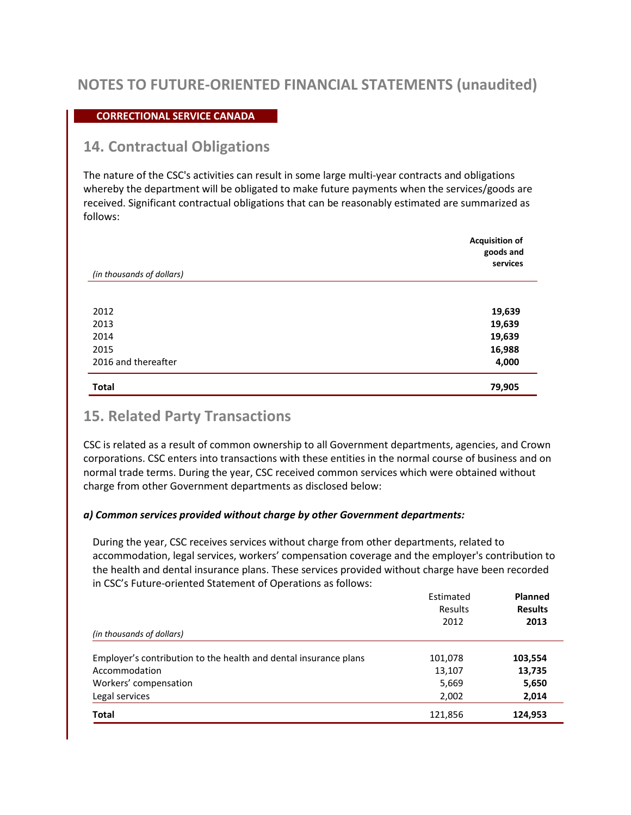### **CORRECTIONAL SERVICE CANADA**

### **14. Contractual Obligations**

The nature of the CSC's activities can result in some large multi-year contracts and obligations whereby the department will be obligated to make future payments when the services/goods are received. Significant contractual obligations that can be reasonably estimated are summarized as follows:

| (in thousands of dollars) | <b>Acquisition of</b><br>goods and<br>services |
|---------------------------|------------------------------------------------|
|                           |                                                |
| 2012                      | 19,639                                         |
| 2013                      | 19,639                                         |
| 2014                      | 19,639                                         |
| 2015                      | 16,988                                         |
| 2016 and thereafter       | 4,000                                          |
| <b>Total</b>              | 79,905                                         |

### **15. Related Party Transactions**

CSC is related as a result of common ownership to all Government departments, agencies, and Crown corporations. CSC enters into transactions with these entities in the normal course of business and on normal trade terms. During the year, CSC received common services which were obtained without charge from other Government departments as disclosed below:

#### *a) Common services provided without charge by other Government departments:*

During the year, CSC receives services without charge from other departments, related to accommodation, legal services, workers' compensation coverage and the employer's contribution to the health and dental insurance plans. These services provided without charge have been recorded in CSC's Future-oriented Statement of Operations as follows:

| (in thousands of dollars)                                        | Estimated<br>Results<br>2012 | Planned<br><b>Results</b><br>2013 |
|------------------------------------------------------------------|------------------------------|-----------------------------------|
|                                                                  |                              |                                   |
| Employer's contribution to the health and dental insurance plans | 101,078                      | 103,554                           |
| Accommodation                                                    | 13,107                       | 13,735                            |
| Workers' compensation                                            | 5,669                        | 5,650                             |
| Legal services                                                   | 2,002                        | 2,014                             |
| <b>Total</b>                                                     | 121,856                      | 124,953                           |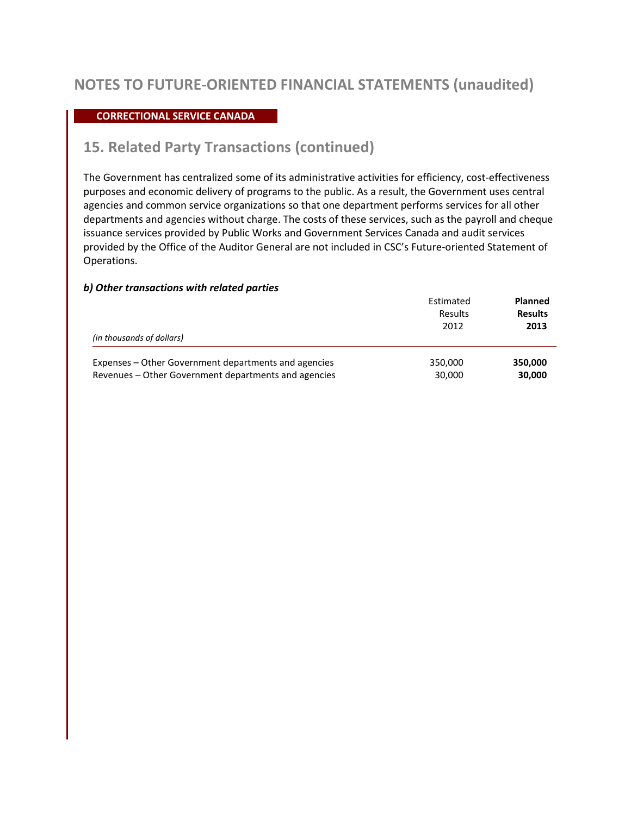### **CORRECTIONAL SERVICE CANADA**

### **15. Related Party Transactions (continued)**

The Government has centralized some of its administrative activities for efficiency, cost-effectiveness purposes and economic delivery of programs to the public. As a result, the Government uses central agencies and common service organizations so that one department performs services for all other departments and agencies without charge. The costs of these services, such as the payroll and cheque issuance services provided by Public Works and Government Services Canada and audit services provided by the Office of the Auditor General are not included in CSC's Future-oriented Statement of Operations.

#### *b) Other transactions with related parties*

| (in thousands of dollars)                            | Estimated<br><b>Results</b><br>2012 | <b>Planned</b><br><b>Results</b><br>2013 |  |
|------------------------------------------------------|-------------------------------------|------------------------------------------|--|
| Expenses – Other Government departments and agencies | 350,000                             | 350,000                                  |  |
| Revenues – Other Government departments and agencies | 30,000                              | 30,000                                   |  |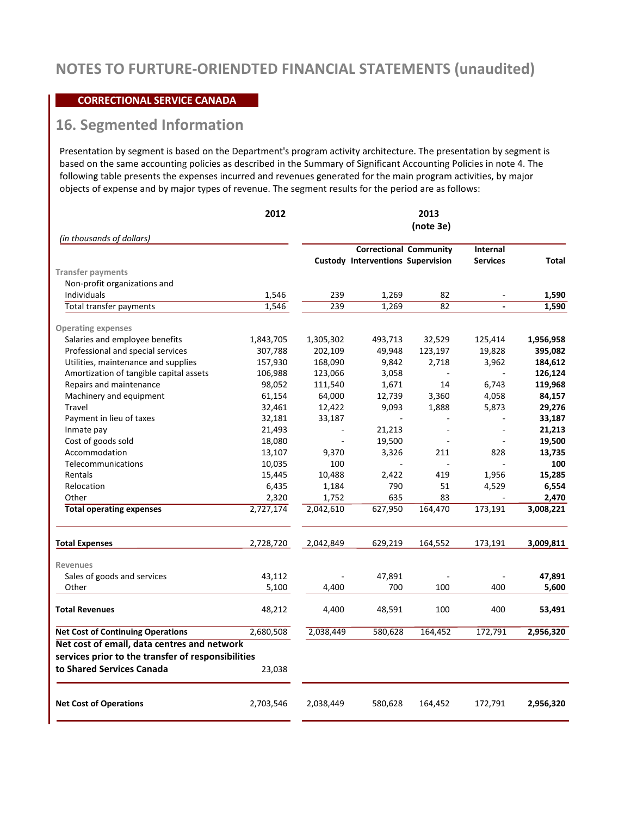#### **CORRECTIONAL SERVICE CANADA**

# **16. Segmented Information**

Presentation by segment is based on the Department's program activity architecture. The presentation by segment is based on the same accounting policies as described in the Summary of Significant Accounting Policies in note 4. The following table presents the expenses incurred and revenues generated for the main program activities, by major objects of expense and by major types of revenue. The segment results for the period are as follows:

|                                                    | 2012      |           |                                          | 2013<br>(note 3e) |                 |           |
|----------------------------------------------------|-----------|-----------|------------------------------------------|-------------------|-----------------|-----------|
| (in thousands of dollars)                          |           |           | <b>Correctional Community</b>            |                   | Internal        |           |
|                                                    |           |           | <b>Custody Interventions Supervision</b> |                   | <b>Services</b> | Total     |
| <b>Transfer payments</b>                           |           |           |                                          |                   |                 |           |
| Non-profit organizations and                       |           |           |                                          |                   |                 |           |
| Individuals                                        | 1,546     | 239       | 1,269                                    | 82                |                 | 1,590     |
| Total transfer payments                            | 1,546     | 239       | 1,269                                    | 82                |                 | 1,590     |
| <b>Operating expenses</b>                          |           |           |                                          |                   |                 |           |
| Salaries and employee benefits                     | 1,843,705 | 1,305,302 | 493,713                                  | 32,529            | 125,414         | 1,956,958 |
| Professional and special services                  | 307,788   | 202,109   | 49,948                                   | 123,197           | 19,828          | 395,082   |
| Utilities, maintenance and supplies                | 157,930   | 168,090   | 9,842                                    | 2,718             | 3,962           | 184,612   |
| Amortization of tangible capital assets            | 106,988   | 123,066   | 3,058                                    | ä,                |                 | 126,124   |
| Repairs and maintenance                            | 98,052    | 111,540   | 1,671                                    | 14                | 6,743           | 119,968   |
| Machinery and equipment                            | 61,154    | 64,000    | 12,739                                   | 3,360             | 4,058           | 84,157    |
| Travel                                             | 32,461    | 12,422    | 9,093                                    | 1,888             | 5,873           | 29,276    |
| Payment in lieu of taxes                           | 32,181    | 33,187    |                                          |                   |                 | 33,187    |
| Inmate pay                                         | 21,493    |           | 21,213                                   | ÷,                | J.              | 21,213    |
| Cost of goods sold                                 | 18,080    |           | 19,500                                   |                   |                 | 19,500    |
| Accommodation                                      | 13,107    | 9,370     | 3,326                                    | 211               | 828             | 13,735    |
| Telecommunications                                 | 10,035    | 100       |                                          |                   |                 | 100       |
| Rentals                                            | 15,445    | 10,488    | 2,422                                    | 419               | 1,956           | 15,285    |
| Relocation                                         | 6,435     | 1,184     | 790                                      | 51                | 4,529           | 6,554     |
| Other                                              | 2.320     | 1,752     | 635                                      | 83                | ÷,              | 2.470     |
| <b>Total operating expenses</b>                    | 2,727,174 | 2,042,610 | 627,950                                  | 164,470           | 173,191         | 3,008,221 |
|                                                    |           |           |                                          |                   |                 |           |
| <b>Total Expenses</b>                              | 2,728,720 | 2,042,849 | 629,219                                  | 164,552           | 173,191         | 3,009,811 |
| <b>Revenues</b>                                    |           |           |                                          |                   |                 |           |
| Sales of goods and services                        | 43,112    |           | 47,891                                   |                   |                 | 47,891    |
| Other                                              | 5,100     | 4,400     | 700                                      | 100               | 400             | 5,600     |
| <b>Total Revenues</b>                              | 48,212    | 4,400     | 48,591                                   | 100               | 400             | 53,491    |
| <b>Net Cost of Continuing Operations</b>           | 2,680,508 | 2,038,449 | 580,628                                  | 164,452           | 172,791         | 2,956,320 |
| Net cost of email, data centres and network        |           |           |                                          |                   |                 |           |
| services prior to the transfer of responsibilities |           |           |                                          |                   |                 |           |
| to Shared Services Canada                          | 23,038    |           |                                          |                   |                 |           |
| <b>Net Cost of Operations</b>                      | 2,703,546 | 2,038,449 | 580,628                                  | 164,452           | 172,791         | 2,956,320 |